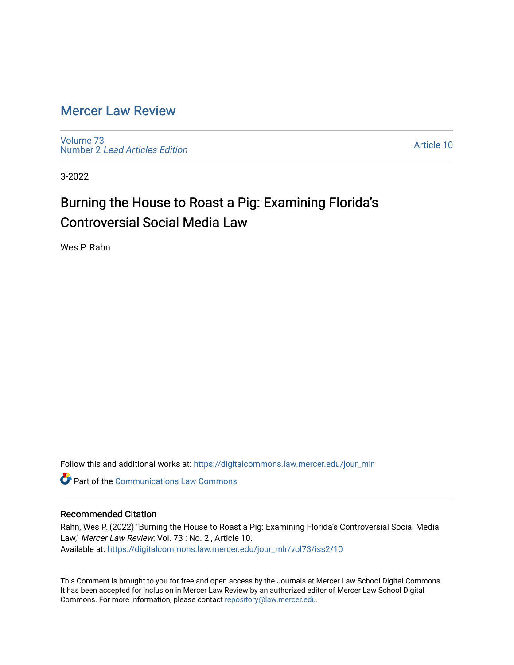## [Mercer Law Review](https://digitalcommons.law.mercer.edu/jour_mlr)

[Volume 73](https://digitalcommons.law.mercer.edu/jour_mlr/vol73) Number 2 [Lead Articles Edition](https://digitalcommons.law.mercer.edu/jour_mlr/vol73/iss2)

[Article 10](https://digitalcommons.law.mercer.edu/jour_mlr/vol73/iss2/10) 

3-2022

## Burning the House to Roast a Pig: Examining Florida's Controversial Social Media Law

Wes P. Rahn

Follow this and additional works at: [https://digitalcommons.law.mercer.edu/jour\\_mlr](https://digitalcommons.law.mercer.edu/jour_mlr?utm_source=digitalcommons.law.mercer.edu%2Fjour_mlr%2Fvol73%2Fiss2%2F10&utm_medium=PDF&utm_campaign=PDFCoverPages)

**C** Part of the Communications Law Commons

## Recommended Citation

Rahn, Wes P. (2022) "Burning the House to Roast a Pig: Examining Florida's Controversial Social Media Law," Mercer Law Review: Vol. 73: No. 2, Article 10. Available at: [https://digitalcommons.law.mercer.edu/jour\\_mlr/vol73/iss2/10](https://digitalcommons.law.mercer.edu/jour_mlr/vol73/iss2/10?utm_source=digitalcommons.law.mercer.edu%2Fjour_mlr%2Fvol73%2Fiss2%2F10&utm_medium=PDF&utm_campaign=PDFCoverPages) 

This Comment is brought to you for free and open access by the Journals at Mercer Law School Digital Commons. It has been accepted for inclusion in Mercer Law Review by an authorized editor of Mercer Law School Digital Commons. For more information, please contact [repository@law.mercer.edu.](mailto:repository@law.mercer.edu)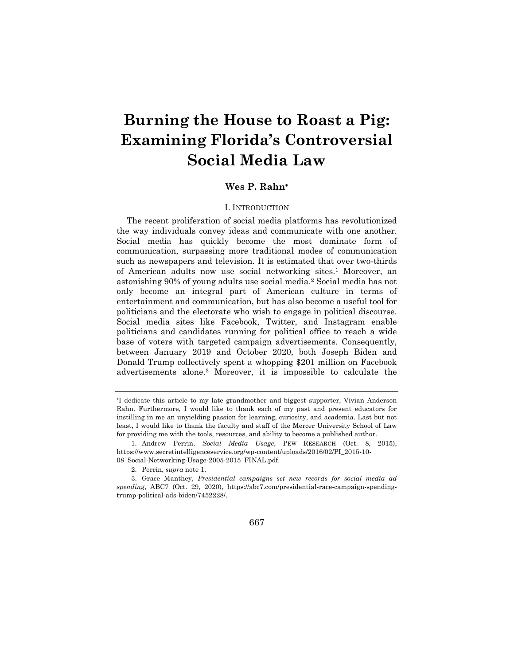# **Burning the House to Roast a Pig: Examining Florida's Controversial Social Media Law**

### **Wes P. Rahn**

### I. INTRODUCTION

The recent proliferation of social media platforms has revolutionized the way individuals convey ideas and communicate with one another. Social media has quickly become the most dominate form of communication, surpassing more traditional modes of communication such as newspapers and television. It is estimated that over two-thirds of American adults now use social networking sites.<sup>1</sup> Moreover, an astonishing 90% of young adults use social media.<sup>2</sup> Social media has not only become an integral part of American culture in terms of entertainment and communication, but has also become a useful tool for politicians and the electorate who wish to engage in political discourse. Social media sites like Facebook, Twitter, and Instagram enable politicians and candidates running for political office to reach a wide base of voters with targeted campaign advertisements. Consequently, between January 2019 and October 2020, both Joseph Biden and Donald Trump collectively spent a whopping \$201 million on Facebook advertisements alone.<sup>3</sup> Moreover, it is impossible to calculate the

<sup>3.</sup> Grace Manthey, *Presidential campaigns set new records for social media ad spending*, ABC7 (Oct. 29, 2020), https://abc7.com/presidential-race-campaign-spendingtrump-political-ads-biden/7452228/.



If dedicate this article to my late grandmother and biggest supporter, Vivian Anderson Rahn. Furthermore, I would like to thank each of my past and present educators for instilling in me an unyielding passion for learning, curiosity, and academia. Last but not least, I would like to thank the faculty and staff of the Mercer University School of Law for providing me with the tools, resources, and ability to become a published author.

<sup>1.</sup> Andrew Perrin, *Social Media Usage*, PEW RESEARCH (Oct. 8, 2015), https://www.secretintelligenceservice.org/wp-content/uploads/2016/02/PI\_2015-10- 08\_Social-Networking-Usage-2005-2015\_FINAL.pdf.

<sup>2.</sup> Perrin, *supra* note 1.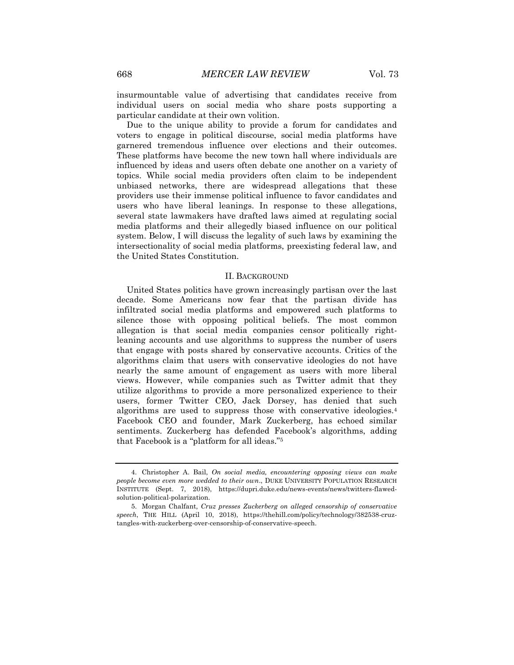insurmountable value of advertising that candidates receive from individual users on social media who share posts supporting a particular candidate at their own volition.

Due to the unique ability to provide a forum for candidates and voters to engage in political discourse, social media platforms have garnered tremendous influence over elections and their outcomes. These platforms have become the new town hall where individuals are influenced by ideas and users often debate one another on a variety of topics. While social media providers often claim to be independent unbiased networks, there are widespread allegations that these providers use their immense political influence to favor candidates and users who have liberal leanings. In response to these allegations, several state lawmakers have drafted laws aimed at regulating social media platforms and their allegedly biased influence on our political system. Below, I will discuss the legality of such laws by examining the intersectionality of social media platforms, preexisting federal law, and the United States Constitution.

#### II. BACKGROUND

United States politics have grown increasingly partisan over the last decade. Some Americans now fear that the partisan divide has infiltrated social media platforms and empowered such platforms to silence those with opposing political beliefs. The most common allegation is that social media companies censor politically rightleaning accounts and use algorithms to suppress the number of users that engage with posts shared by conservative accounts. Critics of the algorithms claim that users with conservative ideologies do not have nearly the same amount of engagement as users with more liberal views. However, while companies such as Twitter admit that they utilize algorithms to provide a more personalized experience to their users, former Twitter CEO, Jack Dorsey, has denied that such algorithms are used to suppress those with conservative ideologies.<sup>4</sup> Facebook CEO and founder, Mark Zuckerberg, has echoed similar sentiments. Zuckerberg has defended Facebook's algorithms, adding that Facebook is a "platform for all ideas."<sup>5</sup>

<sup>4.</sup> Christopher A. Bail, *On social media, encountering opposing views can make people become even more wedded to their own*., DUKE UNIVERSITY POPULATION RESEARCH INSTITUTE (Sept. 7, 2018), https://dupri.duke.edu/news-events/news/twitters-flawedsolution-political-polarization.

<sup>5.</sup> Morgan Chalfant*, Cruz presses Zuckerberg on alleged censorship of conservative speech*, THE HILL (April 10, 2018), https://thehill.com/policy/technology/382538-cruztangles-with-zuckerberg-over-censorship-of-conservative-speech.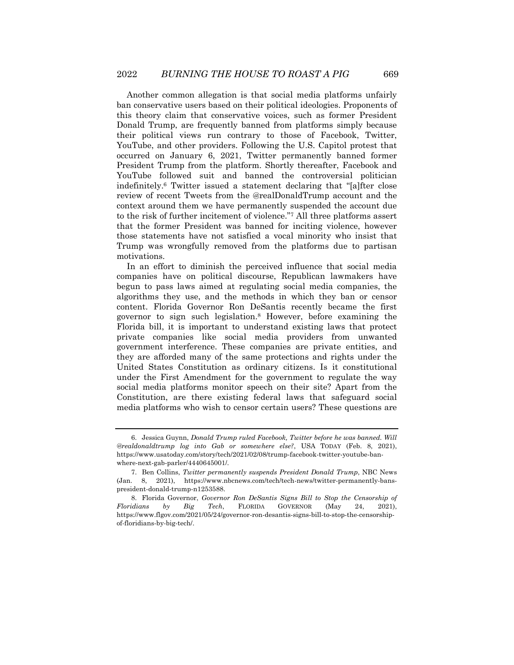Another common allegation is that social media platforms unfairly ban conservative users based on their political ideologies. Proponents of this theory claim that conservative voices, such as former President Donald Trump, are frequently banned from platforms simply because their political views run contrary to those of Facebook, Twitter, YouTube, and other providers. Following the U.S. Capitol protest that occurred on January 6, 2021, Twitter permanently banned former President Trump from the platform. Shortly thereafter, Facebook and YouTube followed suit and banned the controversial politician indefinitely.<sup>6</sup> Twitter issued a statement declaring that "[a]fter close review of recent Tweets from the @realDonaldTrump account and the context around them we have permanently suspended the account due to the risk of further incitement of violence."<sup>7</sup> All three platforms assert that the former President was banned for inciting violence, however those statements have not satisfied a vocal minority who insist that Trump was wrongfully removed from the platforms due to partisan motivations.

In an effort to diminish the perceived influence that social media companies have on political discourse, Republican lawmakers have begun to pass laws aimed at regulating social media companies, the algorithms they use, and the methods in which they ban or censor content. Florida Governor Ron DeSantis recently became the first governor to sign such legislation.<sup>8</sup> However, before examining the Florida bill, it is important to understand existing laws that protect private companies like social media providers from unwanted government interference. These companies are private entities, and they are afforded many of the same protections and rights under the United States Constitution as ordinary citizens. Is it constitutional under the First Amendment for the government to regulate the way social media platforms monitor speech on their site? Apart from the Constitution, are there existing federal laws that safeguard social media platforms who wish to censor certain users? These questions are

<sup>6.</sup> Jessica Guynn, *Donald Trump ruled Facebook, Twitter before he was banned. Will @realdonaldtrump log into Gab or somewhere else?*, USA TODAY (Feb. 8, 2021), https://www.usatoday.com/story/tech/2021/02/08/trump-facebook-twitter-youtube-banwhere-next-gab-parler/4440645001/.

<sup>7.</sup> Ben Collins, *Twitter permanently suspends President Donald Trump*, NBC News (Jan. 8, 2021), https://www.nbcnews.com/tech/tech-news/twitter-permanently-banspresident-donald-trump-n1253588.

<sup>8.</sup> Florida Governor, *Governor Ron DeSantis Signs Bill to Stop the Censorship of Floridians by Big Tech*, FLORIDA GOVERNOR (May 24, 2021), https://www.flgov.com/2021/05/24/governor-ron-desantis-signs-bill-to-stop-the-censorshipof-floridians-by-big-tech/.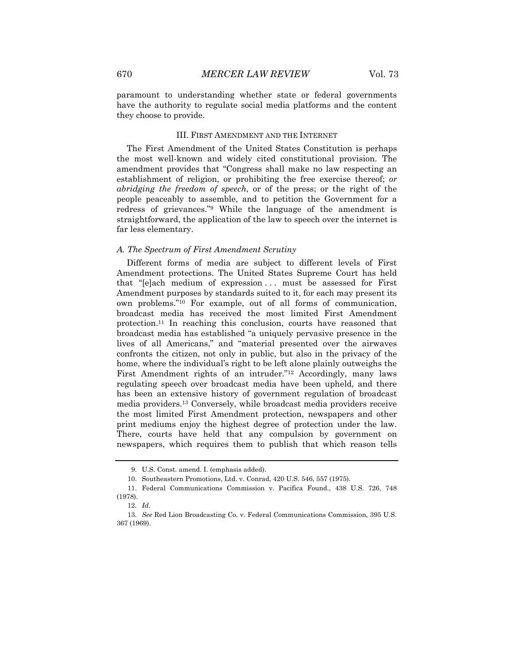paramount to understanding whether state or federal governments have the authority to regulate social media platforms and the content they choose to provide.

#### III. FIRST AMENDMENT AND THE INTERNET

The First Amendment of the United States Constitution is perhaps the most well-known and widely cited constitutional provision. The amendment provides that "Congress shall make no law respecting an establishment of religion, or prohibiting the free exercise thereof; *or abridging the freedom of speech*, or of the press; or the right of the people peaceably to assemble, and to petition the Government for a redress of grievances."<sup>9</sup> While the language of the amendment is straightforward, the application of the law to speech over the internet is far less elementary.

#### *A. The Spectrum of First Amendment Scrutiny*

Different forms of media are subject to different levels of First Amendment protections. The United States Supreme Court has held that "[e]ach medium of expression . . . must be assessed for First Amendment purposes by standards suited to it, for each may present its own problems."<sup>10</sup> For example, out of all forms of communication, broadcast media has received the most limited First Amendment protection.<sup>11</sup> In reaching this conclusion, courts have reasoned that broadcast media has established "a uniquely pervasive presence in the lives of all Americans," and "material presented over the airwaves confronts the citizen, not only in public, but also in the privacy of the home, where the individual's right to be left alone plainly outweighs the First Amendment rights of an intruder."<sup>12</sup> Accordingly, many laws regulating speech over broadcast media have been upheld, and there has been an extensive history of government regulation of broadcast media providers.<sup>13</sup> Conversely, while broadcast media providers receive the most limited First Amendment protection, newspapers and other print mediums enjoy the highest degree of protection under the law. There, courts have held that any compulsion by government on newspapers, which requires them to publish that which reason tells

<sup>9.</sup> U.S. Const. amend. I. (emphasis added).

<sup>10.</sup> Southeastern Promotions, Ltd. v. Conrad, 420 U.S. 546, 557 (1975).

<sup>11.</sup> Federal Communications Commission v. Pacifica Found., 438 U.S. 726, 748 (1978).

<sup>12</sup>*. Id*.

<sup>13</sup>*. See* Red Lion Broadcasting Co. v. Federal Communications Commission, 395 U.S. 367 (1969).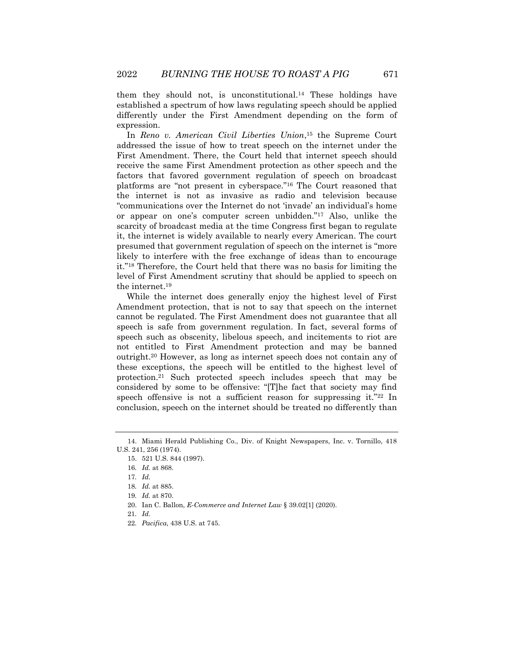them they should not, is unconstitutional.<sup>14</sup> These holdings have established a spectrum of how laws regulating speech should be applied differently under the First Amendment depending on the form of expression.

In *Reno v. American Civil Liberties Union*, <sup>15</sup> the Supreme Court addressed the issue of how to treat speech on the internet under the First Amendment. There, the Court held that internet speech should receive the same First Amendment protection as other speech and the factors that favored government regulation of speech on broadcast platforms are "not present in cyberspace."<sup>16</sup> The Court reasoned that the internet is not as invasive as radio and television because "communications over the Internet do not 'invade' an individual's home or appear on one's computer screen unbidden."<sup>17</sup> Also, unlike the scarcity of broadcast media at the time Congress first began to regulate it, the internet is widely available to nearly every American. The court presumed that government regulation of speech on the internet is "more likely to interfere with the free exchange of ideas than to encourage it."<sup>18</sup> Therefore, the Court held that there was no basis for limiting the level of First Amendment scrutiny that should be applied to speech on the internet.<sup>19</sup>

While the internet does generally enjoy the highest level of First Amendment protection, that is not to say that speech on the internet cannot be regulated. The First Amendment does not guarantee that all speech is safe from government regulation. In fact, several forms of speech such as obscenity, libelous speech, and incitements to riot are not entitled to First Amendment protection and may be banned outright.<sup>20</sup> However, as long as internet speech does not contain any of these exceptions, the speech will be entitled to the highest level of protection.<sup>21</sup> Such protected speech includes speech that may be considered by some to be offensive: "[T]he fact that society may find speech offensive is not a sufficient reason for suppressing it."22 In conclusion, speech on the internet should be treated no differently than

20. Ian C. Ballon, *E-Commerce and Internet Law* § 39.02[1] (2020).

<sup>14.</sup> Miami Herald Publishing Co., Div. of Knight Newspapers, Inc. v. Tornillo, 418 U.S. 241, 256 (1974).

<sup>15.</sup> 521 U.S. 844 (1997).

<sup>16</sup>*. Id.* at 868.

<sup>17</sup>*. Id.*

<sup>18</sup>*. Id.* at 885.

<sup>19</sup>*. Id.* at 870.

<sup>21</sup>*. Id.*

<sup>22</sup>*. Pacifica*, 438 U.S. at 745.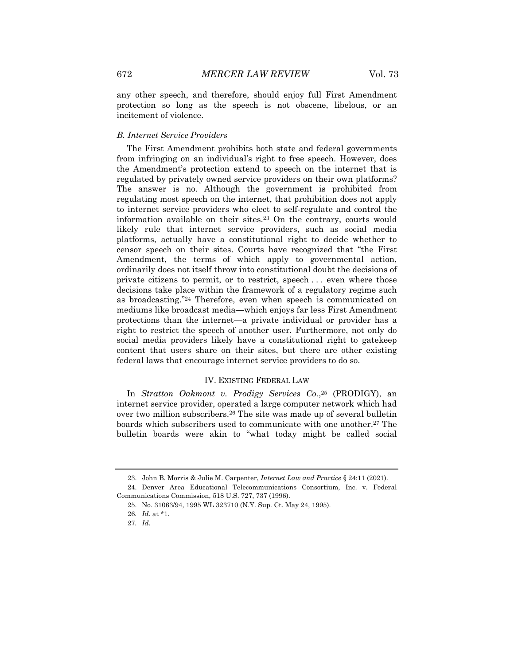any other speech, and therefore, should enjoy full First Amendment protection so long as the speech is not obscene, libelous, or an incitement of violence.

#### *B. Internet Service Providers*

The First Amendment prohibits both state and federal governments from infringing on an individual's right to free speech. However, does the Amendment's protection extend to speech on the internet that is regulated by privately owned service providers on their own platforms? The answer is no. Although the government is prohibited from regulating most speech on the internet, that prohibition does not apply to internet service providers who elect to self-regulate and control the information available on their sites.<sup>23</sup> On the contrary, courts would likely rule that internet service providers, such as social media platforms, actually have a constitutional right to decide whether to censor speech on their sites. Courts have recognized that "the First Amendment, the terms of which apply to governmental action, ordinarily does not itself throw into constitutional doubt the decisions of private citizens to permit, or to restrict, speech . . . even where those decisions take place within the framework of a regulatory regime such as broadcasting."<sup>24</sup> Therefore, even when speech is communicated on mediums like broadcast media—which enjoys far less First Amendment protections than the internet—a private individual or provider has a right to restrict the speech of another user. Furthermore, not only do social media providers likely have a constitutional right to gatekeep content that users share on their sites, but there are other existing federal laws that encourage internet service providers to do so.

#### IV. EXISTING FEDERAL LAW

In *Stratton Oakmont v. Prodigy Services Co.*, <sup>25</sup> (PRODIGY), an internet service provider, operated a large computer network which had over two million subscribers.<sup>26</sup> The site was made up of several bulletin boards which subscribers used to communicate with one another.<sup>27</sup> The bulletin boards were akin to "what today might be called social

<sup>23.</sup> John B. Morris & Julie M. Carpenter, *Internet Law and Practice* § 24:11 (2021).

<sup>24.</sup> Denver Area Educational Telecommunications Consortium, Inc. v. Federal Communications Commission, 518 U.S. 727, 737 (1996).

<sup>25.</sup> No. 31063/94, 1995 WL 323710 (N.Y. Sup. Ct. May 24, 1995).

<sup>26</sup>*. Id.* at \*1.

<sup>27</sup>*. Id.*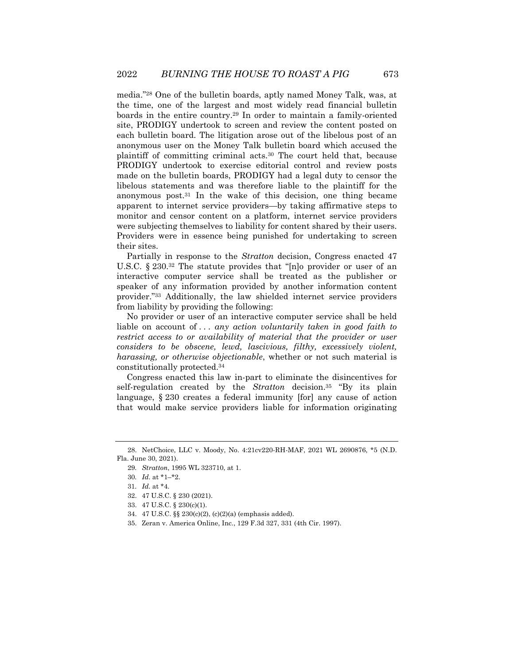media."<sup>28</sup> One of the bulletin boards, aptly named Money Talk, was, at the time, one of the largest and most widely read financial bulletin boards in the entire country.<sup>29</sup> In order to maintain a family-oriented site, PRODIGY undertook to screen and review the content posted on each bulletin board. The litigation arose out of the libelous post of an anonymous user on the Money Talk bulletin board which accused the plaintiff of committing criminal acts.<sup>30</sup> The court held that, because PRODIGY undertook to exercise editorial control and review posts made on the bulletin boards, PRODIGY had a legal duty to censor the libelous statements and was therefore liable to the plaintiff for the anonymous post.<sup>31</sup> In the wake of this decision, one thing became apparent to internet service providers—by taking affirmative steps to monitor and censor content on a platform, internet service providers were subjecting themselves to liability for content shared by their users. Providers were in essence being punished for undertaking to screen their sites.

Partially in response to the *Stratton* decision, Congress enacted 47 U.S.C. § 230.<sup>32</sup> The statute provides that "[n]o provider or user of an interactive computer service shall be treated as the publisher or speaker of any information provided by another information content provider."<sup>33</sup> Additionally, the law shielded internet service providers from liability by providing the following:

No provider or user of an interactive computer service shall be held liable on account of . . . *any action voluntarily taken in good faith to restrict access to or availability of material that the provider or user considers to be obscene, lewd, lascivious, filthy, excessively violent, harassing, or otherwise objectionable*, whether or not such material is constitutionally protected.<sup>34</sup>

Congress enacted this law in-part to eliminate the disincentives for self-regulation created by the *Stratton* decision.<sup>35</sup> "By its plain language, § 230 creates a federal immunity [for] any cause of action that would make service providers liable for information originating

<sup>28.</sup> NetChoice, LLC v. Moody, No. 4:21cv220-RH-MAF, 2021 WL 2690876, \*5 (N.D. Fla. June 30, 2021).

<sup>29</sup>*. Stratton*, 1995 WL 323710, at 1.

<sup>30</sup>*. Id*. at \*1–\*2.

<sup>31</sup>*. Id.* at \*4.

<sup>32.</sup> 47 U.S.C. § 230 (2021).

<sup>33.</sup> 47 U.S.C. § 230(c)(1).

<sup>34.</sup> 47 U.S.C. §§ 230(c)(2), (c)(2)(a) (emphasis added).

<sup>35.</sup> Zeran v. America Online, Inc., 129 F.3d 327, 331 (4th Cir. 1997).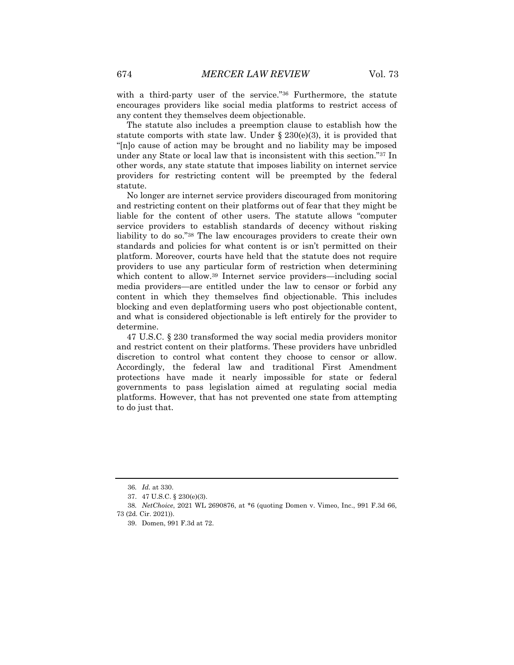with a third-party user of the service."<sup>36</sup> Furthermore, the statute encourages providers like social media platforms to restrict access of any content they themselves deem objectionable.

The statute also includes a preemption clause to establish how the statute comports with state law. Under  $\S 230(e)(3)$ , it is provided that "[n]o cause of action may be brought and no liability may be imposed under any State or local law that is inconsistent with this section."<sup>37</sup> In other words, any state statute that imposes liability on internet service providers for restricting content will be preempted by the federal statute.

No longer are internet service providers discouraged from monitoring and restricting content on their platforms out of fear that they might be liable for the content of other users. The statute allows "computer service providers to establish standards of decency without risking liability to do so."<sup>38</sup> The law encourages providers to create their own standards and policies for what content is or isn't permitted on their platform. Moreover, courts have held that the statute does not require providers to use any particular form of restriction when determining which content to allow.<sup>39</sup> Internet service providers—including social media providers—are entitled under the law to censor or forbid any content in which they themselves find objectionable. This includes blocking and even deplatforming users who post objectionable content, and what is considered objectionable is left entirely for the provider to determine.

47 U.S.C. § 230 transformed the way social media providers monitor and restrict content on their platforms. These providers have unbridled discretion to control what content they choose to censor or allow. Accordingly, the federal law and traditional First Amendment protections have made it nearly impossible for state or federal governments to pass legislation aimed at regulating social media platforms. However, that has not prevented one state from attempting to do just that.

<sup>36</sup>*. Id.* at 330.

<sup>37.</sup> 47 U.S.C. § 230(e)(3).

<sup>38</sup>*. NetChoice*, 2021 WL 2690876, at \*6 (quoting Domen v. Vimeo, Inc., 991 F.3d 66,

<sup>73 (2</sup>d. Cir. 2021)).

<sup>39.</sup> Domen, 991 F.3d at 72.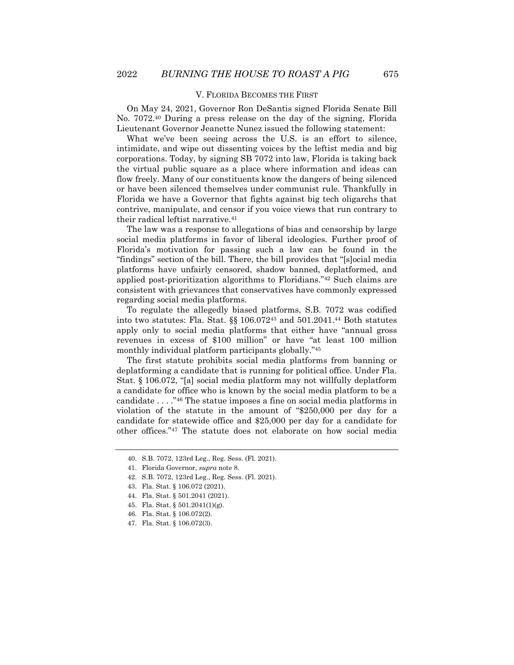#### V. FLORIDA BECOMES THE FIRST

On May 24, 2021, Governor Ron DeSantis signed Florida Senate Bill No. 7072.<sup>40</sup> During a press release on the day of the signing, Florida Lieutenant Governor Jeanette Nunez issued the following statement:

What we've been seeing across the U.S. is an effort to silence, intimidate, and wipe out dissenting voices by the leftist media and big corporations. Today, by signing SB 7072 into law, Florida is taking back the virtual public square as a place where information and ideas can flow freely. Many of our constituents know the dangers of being silenced or have been silenced themselves under communist rule. Thankfully in Florida we have a Governor that fights against big tech oligarchs that contrive, manipulate, and censor if you voice views that run contrary to their radical leftist narrative.<sup>41</sup>

The law was a response to allegations of bias and censorship by large social media platforms in favor of liberal ideologies. Further proof of Florida's motivation for passing such a law can be found in the "findings" section of the bill. There, the bill provides that "[s]ocial media platforms have unfairly censored, shadow banned, deplatformed, and applied post-prioritization algorithms to Floridians."<sup>42</sup> Such claims are consistent with grievances that conservatives have commonly expressed regarding social media platforms.

To regulate the allegedly biased platforms, S.B. 7072 was codified into two statutes: Fla. Stat. §§ 106.072<sup>43</sup> and 501.2041.<sup>44</sup> Both statutes apply only to social media platforms that either have "annual gross revenues in excess of \$100 million" or have "at least 100 million monthly individual platform participants globally."<sup>45</sup>

The first statute prohibits social media platforms from banning or deplatforming a candidate that is running for political office. Under Fla. Stat. § 106.072, "[a] social media platform may not willfully deplatform a candidate for office who is known by the social media platform to be a candidate . . . ."<sup>46</sup> The statue imposes a fine on social media platforms in violation of the statute in the amount of "\$250,000 per day for a candidate for statewide office and \$25,000 per day for a candidate for other offices."<sup>47</sup> The statute does not elaborate on how social media

46. Fla. Stat. § 106.072(2).

<sup>40.</sup> S.B. 7072, 123rd Leg., Reg. Sess. (Fl. 2021).

<sup>41.</sup> Florida Governor, *supra* note 8.

<sup>42.</sup> S.B. 7072, 123rd Leg., Reg. Sess. (Fl. 2021).

<sup>43.</sup> Fla. Stat. § 106.072 (2021).

<sup>44.</sup> Fla. Stat. § 501.2041 (2021).

<sup>45.</sup> Fla. Stat. § 501.2041(1)(g).

<sup>47.</sup> Fla. Stat. § 106.072(3).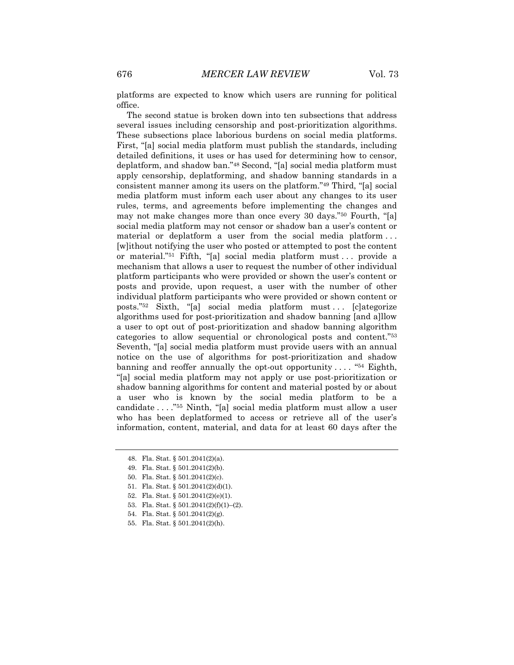platforms are expected to know which users are running for political office.

The second statue is broken down into ten subsections that address several issues including censorship and post-prioritization algorithms. These subsections place laborious burdens on social media platforms. First, "[a] social media platform must publish the standards, including detailed definitions, it uses or has used for determining how to censor, deplatform, and shadow ban."<sup>48</sup> Second, "[a] social media platform must apply censorship, deplatforming, and shadow banning standards in a consistent manner among its users on the platform."<sup>49</sup> Third, "[a] social media platform must inform each user about any changes to its user rules, terms, and agreements before implementing the changes and may not make changes more than once every 30 days."<sup>50</sup> Fourth, "[a] social media platform may not censor or shadow ban a user's content or material or deplatform a user from the social media platform . . . [w]ithout notifying the user who posted or attempted to post the content or material."<sup>51</sup> Fifth, "[a] social media platform must . . . provide a mechanism that allows a user to request the number of other individual platform participants who were provided or shown the user's content or posts and provide, upon request, a user with the number of other individual platform participants who were provided or shown content or posts."<sup>52</sup> Sixth, "[a] social media platform must . . . [c]ategorize algorithms used for post-prioritization and shadow banning [and a]llow a user to opt out of post-prioritization and shadow banning algorithm categories to allow sequential or chronological posts and content."<sup>53</sup> Seventh, "[a] social media platform must provide users with an annual notice on the use of algorithms for post-prioritization and shadow banning and reoffer annually the opt-out opportunity  $\dots$  . "<sup>54</sup> Eighth, "[a] social media platform may not apply or use post-prioritization or shadow banning algorithms for content and material posted by or about a user who is known by the social media platform to be a candidate . . . ."<sup>55</sup> Ninth, "[a] social media platform must allow a user who has been deplatformed to access or retrieve all of the user's information, content, material, and data for at least 60 days after the

- 53. Fla. Stat. §  $501.2041(2)(f)(1)–(2)$ .
- 54. Fla. Stat. § 501.2041(2)(g).
- 55. Fla. Stat. § 501.2041(2)(h).

<sup>48.</sup> Fla. Stat. § 501.2041(2)(a).

<sup>49.</sup> Fla. Stat. § 501.2041(2)(b).

<sup>50.</sup> Fla. Stat. § 501.2041(2)(c).

<sup>51.</sup> Fla. Stat. § 501.2041(2)(d)(1).

<sup>52.</sup> Fla. Stat. § 501.2041(2)(e)(1).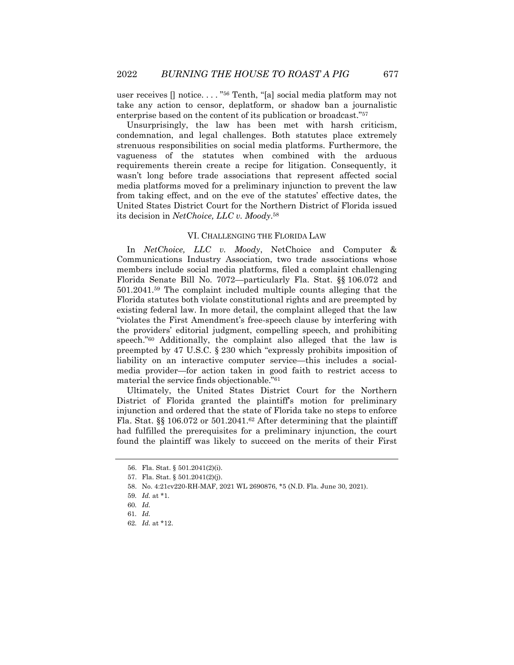user receives [] notice. . . . " <sup>56</sup> Tenth, "[a] social media platform may not take any action to censor, deplatform, or shadow ban a journalistic enterprise based on the content of its publication or broadcast."<sup>57</sup>

Unsurprisingly, the law has been met with harsh criticism, condemnation, and legal challenges. Both statutes place extremely strenuous responsibilities on social media platforms. Furthermore, the vagueness of the statutes when combined with the arduous requirements therein create a recipe for litigation. Consequently, it wasn't long before trade associations that represent affected social media platforms moved for a preliminary injunction to prevent the law from taking effect, and on the eve of the statutes' effective dates, the United States District Court for the Northern District of Florida issued its decision in *NetChoice, LLC v. Moody*. 58

#### VI. CHALLENGING THE FLORIDA LAW

In *NetChoice, LLC v. Moody*, NetChoice and Computer & Communications Industry Association, two trade associations whose members include social media platforms, filed a complaint challenging Florida Senate Bill No. 7072—particularly Fla. Stat. §§ 106.072 and 501.2041.<sup>59</sup> The complaint included multiple counts alleging that the Florida statutes both violate constitutional rights and are preempted by existing federal law. In more detail, the complaint alleged that the law "violates the First Amendment's free-speech clause by interfering with the providers' editorial judgment, compelling speech, and prohibiting speech."<sup>60</sup> Additionally, the complaint also alleged that the law is preempted by 47 U.S.C. § 230 which "expressly prohibits imposition of liability on an interactive computer service—this includes a socialmedia provider—for action taken in good faith to restrict access to material the service finds objectionable."<sup>61</sup>

Ultimately, the United States District Court for the Northern District of Florida granted the plaintiff's motion for preliminary injunction and ordered that the state of Florida take no steps to enforce Fla. Stat. §§ 106.072 or 501.2041.<sup>62</sup> After determining that the plaintiff had fulfilled the prerequisites for a preliminary injunction, the court found the plaintiff was likely to succeed on the merits of their First

<sup>56.</sup> Fla. Stat. § 501.2041(2)(i).

<sup>57.</sup> Fla. Stat. § 501.2041(2)(j).

<sup>58.</sup> No. 4:21cv220-RH-MAF, 2021 WL 2690876, \*5 (N.D. Fla. June 30, 2021).

<sup>59</sup>*. Id.* at \*1.

<sup>60</sup>*. Id.*

<sup>61</sup>*. Id.*

<sup>62</sup>*. Id.* at \*12.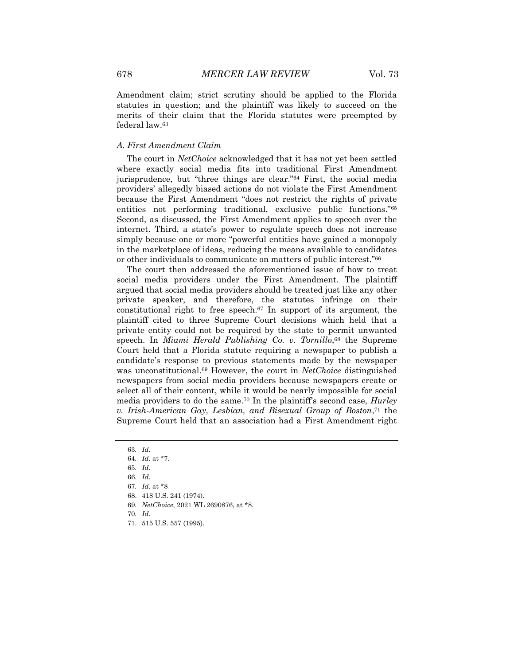Amendment claim; strict scrutiny should be applied to the Florida statutes in question; and the plaintiff was likely to succeed on the merits of their claim that the Florida statutes were preempted by federal law.<sup>63</sup>

#### *A. First Amendment Claim*

The court in *NetChoice* acknowledged that it has not yet been settled where exactly social media fits into traditional First Amendment jurisprudence, but "three things are clear."<sup>64</sup> First, the social media providers' allegedly biased actions do not violate the First Amendment because the First Amendment "does not restrict the rights of private entities not performing traditional, exclusive public functions."<sup>65</sup> Second, as discussed, the First Amendment applies to speech over the internet. Third, a state's power to regulate speech does not increase simply because one or more "powerful entities have gained a monopoly in the marketplace of ideas, reducing the means available to candidates or other individuals to communicate on matters of public interest."<sup>66</sup>

The court then addressed the aforementioned issue of how to treat social media providers under the First Amendment. The plaintiff argued that social media providers should be treated just like any other private speaker, and therefore, the statutes infringe on their constitutional right to free speech.<sup>67</sup> In support of its argument, the plaintiff cited to three Supreme Court decisions which held that a private entity could not be required by the state to permit unwanted speech. In *Miami Herald Publishing Co. v. Tornillo*, <sup>68</sup> the Supreme Court held that a Florida statute requiring a newspaper to publish a candidate's response to previous statements made by the newspaper was unconstitutional.<sup>69</sup> However, the court in *NetChoice* distinguished newspapers from social media providers because newspapers create or select all of their content, while it would be nearly impossible for social media providers to do the same.<sup>70</sup> In the plaintiff's second case, *Hurley v. Irish-American Gay, Lesbian, and Bisexual Group of Boston*, <sup>71</sup> the Supreme Court held that an association had a First Amendment right

- 69*. NetChoice*, 2021 WL 2690876, at \*8.
- 70*. Id.*
- 71. 515 U.S. 557 (1995).

<sup>63</sup>*. Id.*

<sup>64</sup>*. Id.* at \*7.

<sup>65</sup>*. Id.*

<sup>66</sup>*. Id.*

<sup>67</sup>*. Id.* at \*8

<sup>68.</sup> 418 U.S. 241 (1974).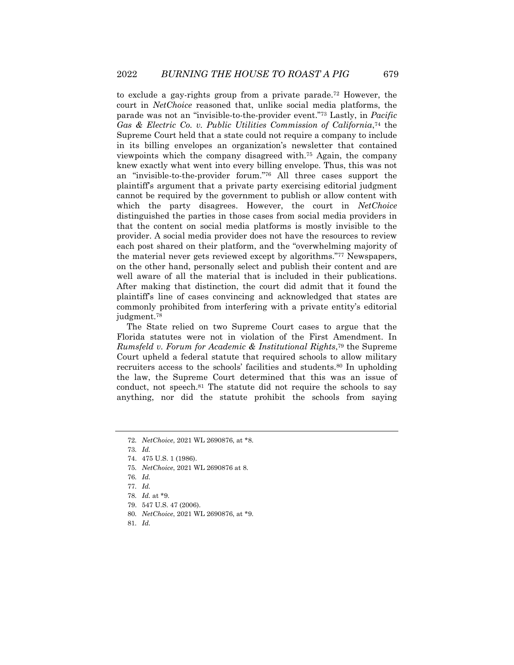to exclude a gay-rights group from a private parade.<sup>72</sup> However, the court in *NetChoice* reasoned that, unlike social media platforms, the parade was not an "invisible-to-the-provider event."<sup>73</sup> Lastly, in *Pacific*  Gas & Electric Co. v. Public Utilities Commission of California,<sup>74</sup> the Supreme Court held that a state could not require a company to include in its billing envelopes an organization's newsletter that contained viewpoints which the company disagreed with.<sup>75</sup> Again, the company knew exactly what went into every billing envelope. Thus, this was not an "invisible-to-the-provider forum."<sup>76</sup> All three cases support the plaintiff's argument that a private party exercising editorial judgment cannot be required by the government to publish or allow content with which the party disagrees. However, the court in *NetChoice* distinguished the parties in those cases from social media providers in that the content on social media platforms is mostly invisible to the provider. A social media provider does not have the resources to review each post shared on their platform, and the "overwhelming majority of the material never gets reviewed except by algorithms."<sup>77</sup> Newspapers, on the other hand, personally select and publish their content and are well aware of all the material that is included in their publications. After making that distinction, the court did admit that it found the plaintiff's line of cases convincing and acknowledged that states are commonly prohibited from interfering with a private entity's editorial judgment.<sup>78</sup>

The State relied on two Supreme Court cases to argue that the Florida statutes were not in violation of the First Amendment. In *Rumsfeld v. Forum for Academic & Institutional Rights*, <sup>79</sup> the Supreme Court upheld a federal statute that required schools to allow military recruiters access to the schools' facilities and students.<sup>80</sup> In upholding the law, the Supreme Court determined that this was an issue of conduct, not speech.<sup>81</sup> The statute did not require the schools to say anything, nor did the statute prohibit the schools from saying

75*. NetChoice*, 2021 WL 2690876 at 8.

- 77*. Id.*
- 78*. Id.* at \*9.
- 79. 547 U.S. 47 (2006).
- 80*. NetChoice*, 2021 WL 2690876, at \*9.
- 81*. Id.*

<sup>72</sup>*. NetChoice*, 2021 WL 2690876, at \*8.

<sup>73</sup>*. Id.*

<sup>74.</sup> 475 U.S. 1 (1986).

<sup>76</sup>*. Id.*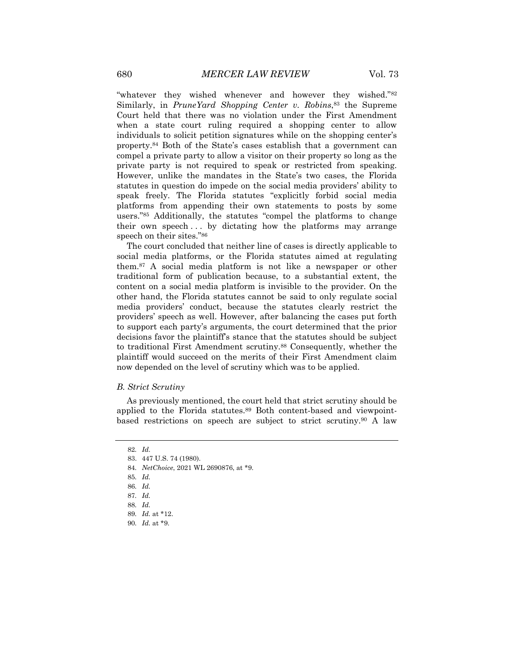"whatever they wished whenever and however they wished."<sup>82</sup> Similarly, in *PruneYard Shopping Center v. Robins*, <sup>83</sup> the Supreme Court held that there was no violation under the First Amendment when a state court ruling required a shopping center to allow individuals to solicit petition signatures while on the shopping center's property.<sup>84</sup> Both of the State's cases establish that a government can compel a private party to allow a visitor on their property so long as the private party is not required to speak or restricted from speaking. However, unlike the mandates in the State's two cases, the Florida statutes in question do impede on the social media providers' ability to speak freely. The Florida statutes "explicitly forbid social media platforms from appending their own statements to posts by some users."<sup>85</sup> Additionally, the statutes "compel the platforms to change their own speech... by dictating how the platforms may arrange speech on their sites."<sup>86</sup>

The court concluded that neither line of cases is directly applicable to social media platforms, or the Florida statutes aimed at regulating them.<sup>87</sup> A social media platform is not like a newspaper or other traditional form of publication because, to a substantial extent, the content on a social media platform is invisible to the provider. On the other hand, the Florida statutes cannot be said to only regulate social media providers' conduct, because the statutes clearly restrict the providers' speech as well. However, after balancing the cases put forth to support each party's arguments, the court determined that the prior decisions favor the plaintiff's stance that the statutes should be subject to traditional First Amendment scrutiny.<sup>88</sup> Consequently, whether the plaintiff would succeed on the merits of their First Amendment claim now depended on the level of scrutiny which was to be applied.

#### *B. Strict Scrutiny*

As previously mentioned, the court held that strict scrutiny should be applied to the Florida statutes.<sup>89</sup> Both content-based and viewpointbased restrictions on speech are subject to strict scrutiny.<sup>90</sup> A law

<sup>82</sup>*. Id*.

<sup>83.</sup> 447 U.S. 74 (1980).

<sup>84</sup>*. NetChoice*, 2021 WL 2690876, at \*9.

<sup>85</sup>*. Id.*

<sup>86</sup>*. Id.*

<sup>87</sup>*. Id.*

<sup>88</sup>*. Id.*

<sup>89</sup>*. Id.* at \*12.

<sup>90</sup>*. Id.* at \*9.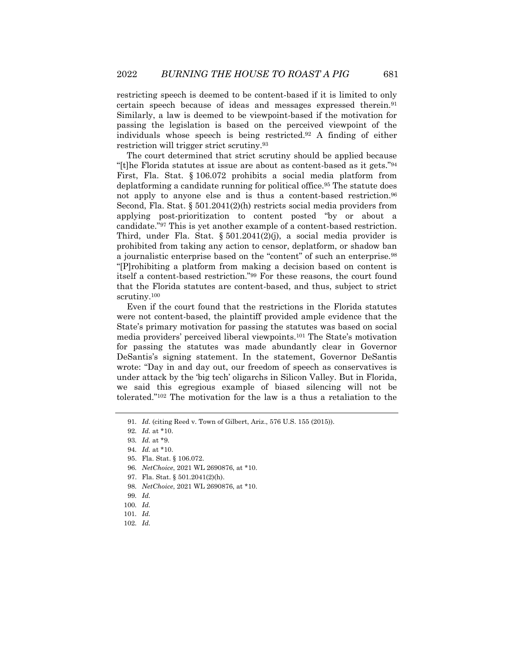restricting speech is deemed to be content-based if it is limited to only certain speech because of ideas and messages expressed therein.<sup>91</sup> Similarly, a law is deemed to be viewpoint-based if the motivation for passing the legislation is based on the perceived viewpoint of the individuals whose speech is being restricted.<sup>92</sup> A finding of either restriction will trigger strict scrutiny.<sup>93</sup>

The court determined that strict scrutiny should be applied because "[t]he Florida statutes at issue are about as content-based as it gets."<sup>94</sup> First, Fla. Stat. § 106.072 prohibits a social media platform from deplatforming a candidate running for political office.<sup>95</sup> The statute does not apply to anyone else and is thus a content-based restriction.<sup>96</sup> Second, Fla. Stat. § 501.2041(2)(h) restricts social media providers from applying post-prioritization to content posted "by or about a candidate."<sup>97</sup> This is yet another example of a content-based restriction. Third, under Fla. Stat. §  $501.2041(2)(j)$ , a social media provider is prohibited from taking any action to censor, deplatform, or shadow ban a journalistic enterprise based on the "content" of such an enterprise.<sup>98</sup> "[P]rohibiting a platform from making a decision based on content is itself a content-based restriction."<sup>99</sup> For these reasons, the court found that the Florida statutes are content-based, and thus, subject to strict scrutiny.<sup>100</sup>

Even if the court found that the restrictions in the Florida statutes were not content-based, the plaintiff provided ample evidence that the State's primary motivation for passing the statutes was based on social media providers' perceived liberal viewpoints.<sup>101</sup> The State's motivation for passing the statutes was made abundantly clear in Governor DeSantis's signing statement. In the statement, Governor DeSantis wrote: "Day in and day out, our freedom of speech as conservatives is under attack by the 'big tech' oligarchs in Silicon Valley. But in Florida, we said this egregious example of biased silencing will not be tolerated."<sup>102</sup> The motivation for the law is a thus a retaliation to the

- 97. Fla. Stat. § 501.2041(2)(h).
- 98*. NetChoice*, 2021 WL 2690876, at \*10.
- 99*. Id.*
- 100*. Id.*
- 101*. Id.*
- 102*. Id.*

<sup>91</sup>*. Id*. (citing Reed v. Town of Gilbert, Ariz., 576 U.S. 155 (2015)).

<sup>92</sup>*. Id.* at \*10.

<sup>93</sup>*. Id.* at \*9.

<sup>94</sup>*. Id.* at \*10.

<sup>95.</sup> Fla. Stat. § 106.072.

<sup>96</sup>*. NetChoice*, 2021 WL 2690876, at \*10.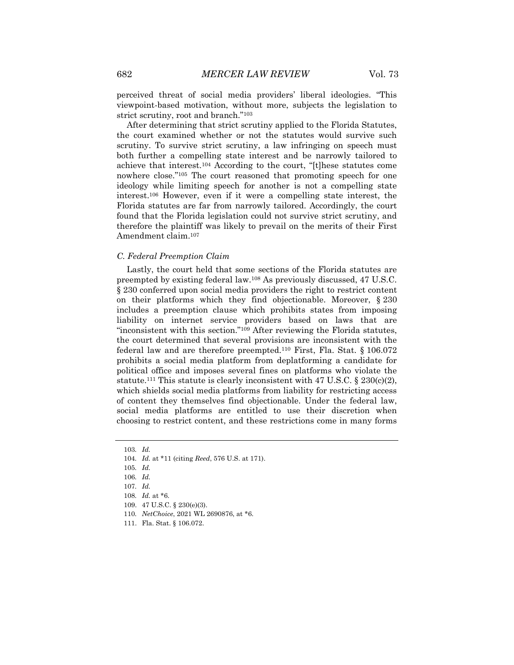perceived threat of social media providers' liberal ideologies. "This viewpoint-based motivation, without more, subjects the legislation to strict scrutiny, root and branch."<sup>103</sup>

After determining that strict scrutiny applied to the Florida Statutes, the court examined whether or not the statutes would survive such scrutiny. To survive strict scrutiny, a law infringing on speech must both further a compelling state interest and be narrowly tailored to achieve that interest.<sup>104</sup> According to the court, "[t]hese statutes come nowhere close."<sup>105</sup> The court reasoned that promoting speech for one ideology while limiting speech for another is not a compelling state interest.<sup>106</sup> However, even if it were a compelling state interest, the Florida statutes are far from narrowly tailored. Accordingly, the court found that the Florida legislation could not survive strict scrutiny, and therefore the plaintiff was likely to prevail on the merits of their First Amendment claim.<sup>107</sup>

#### *C. Federal Preemption Claim*

Lastly, the court held that some sections of the Florida statutes are preempted by existing federal law.<sup>108</sup> As previously discussed, 47 U.S.C. § 230 conferred upon social media providers the right to restrict content on their platforms which they find objectionable. Moreover, § 230 includes a preemption clause which prohibits states from imposing liability on internet service providers based on laws that are "inconsistent with this section."<sup>109</sup> After reviewing the Florida statutes, the court determined that several provisions are inconsistent with the federal law and are therefore preempted.<sup>110</sup> First, Fla. Stat. § 106.072 prohibits a social media platform from deplatforming a candidate for political office and imposes several fines on platforms who violate the statute.<sup>111</sup> This statute is clearly inconsistent with 47 U.S.C. § 230(c)(2), which shields social media platforms from liability for restricting access of content they themselves find objectionable. Under the federal law, social media platforms are entitled to use their discretion when choosing to restrict content, and these restrictions come in many forms

110*. NetChoice*, 2021 WL 2690876, at \*6.

<sup>103</sup>*. Id.*

<sup>104</sup>*. Id.* at \*11 (citing *Reed*, 576 U.S. at 171).

<sup>105</sup>*. Id.*

<sup>106</sup>*. Id.*

<sup>107</sup>*. Id.*

<sup>108</sup>*. Id.* at \*6.

<sup>109.</sup> 47 U.S.C. § 230(e)(3).

<sup>111.</sup> Fla. Stat. § 106.072.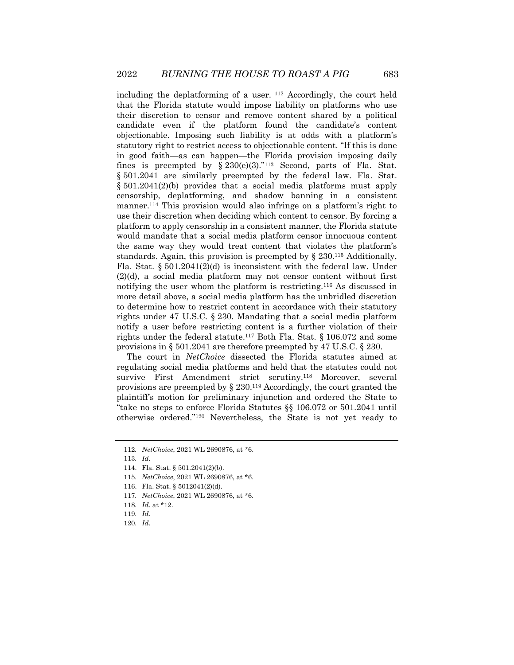including the deplatforming of a user.  $112$  Accordingly, the court held that the Florida statute would impose liability on platforms who use their discretion to censor and remove content shared by a political candidate even if the platform found the candidate's content objectionable. Imposing such liability is at odds with a platform's statutory right to restrict access to objectionable content. "If this is done in good faith—as can happen—the Florida provision imposing daily fines is preempted by  $\S 230(e)(3)$ ."<sup>113</sup> Second, parts of Fla. Stat. § 501.2041 are similarly preempted by the federal law. Fla. Stat. § 501.2041(2)(b) provides that a social media platforms must apply censorship, deplatforming, and shadow banning in a consistent manner.<sup>114</sup> This provision would also infringe on a platform's right to use their discretion when deciding which content to censor. By forcing a platform to apply censorship in a consistent manner, the Florida statute would mandate that a social media platform censor innocuous content the same way they would treat content that violates the platform's standards. Again, this provision is preempted by § 230.<sup>115</sup> Additionally, Fla. Stat.  $\S 501.2041(2)(d)$  is inconsistent with the federal law. Under (2)(d), a social media platform may not censor content without first notifying the user whom the platform is restricting.<sup>116</sup> As discussed in more detail above, a social media platform has the unbridled discretion to determine how to restrict content in accordance with their statutory rights under 47 U.S.C. § 230. Mandating that a social media platform notify a user before restricting content is a further violation of their rights under the federal statute.<sup>117</sup> Both Fla. Stat. § 106.072 and some provisions in § 501.2041 are therefore preempted by 47 U.S.C. § 230.

The court in *NetChoice* dissected the Florida statutes aimed at regulating social media platforms and held that the statutes could not survive First Amendment strict scrutiny.<sup>118</sup> Moreover, several provisions are preempted by § 230.<sup>119</sup> Accordingly, the court granted the plaintiff's motion for preliminary injunction and ordered the State to "take no steps to enforce Florida Statutes §§ 106.072 or 501.2041 until otherwise ordered."<sup>120</sup> Nevertheless, the State is not yet ready to

<sup>112</sup>*. NetChoice*, 2021 WL 2690876, at \*6.

<sup>113</sup>*. Id.*

<sup>114.</sup> Fla. Stat. § 501.2041(2)(b).

<sup>115</sup>*. NetChoice*, 2021 WL 2690876, at \*6.

<sup>116.</sup> Fla. Stat. § 5012041(2)(d).

<sup>117</sup>*. NetChoice*, 2021 WL 2690876, at \*6.

<sup>118</sup>*. Id.* at \*12.

<sup>119</sup>*. Id.*

<sup>120</sup>*. Id.*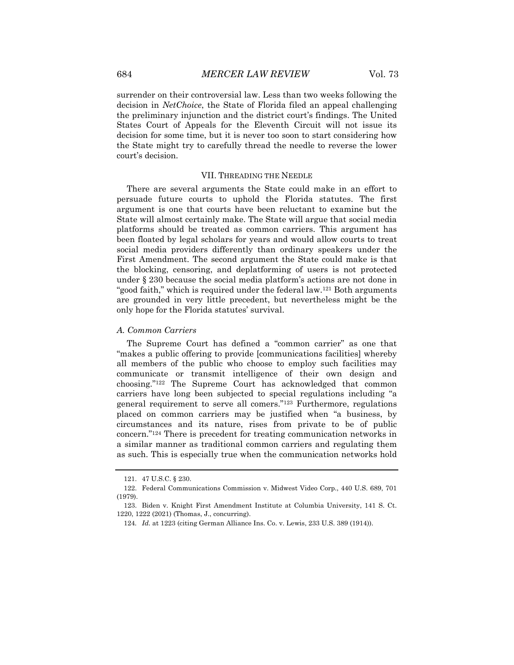surrender on their controversial law. Less than two weeks following the decision in *NetChoice*, the State of Florida filed an appeal challenging the preliminary injunction and the district court's findings. The United States Court of Appeals for the Eleventh Circuit will not issue its decision for some time, but it is never too soon to start considering how the State might try to carefully thread the needle to reverse the lower court's decision.

#### VII. THREADING THE NEEDLE

There are several arguments the State could make in an effort to persuade future courts to uphold the Florida statutes. The first argument is one that courts have been reluctant to examine but the State will almost certainly make. The State will argue that social media platforms should be treated as common carriers. This argument has been floated by legal scholars for years and would allow courts to treat social media providers differently than ordinary speakers under the First Amendment. The second argument the State could make is that the blocking, censoring, and deplatforming of users is not protected under § 230 because the social media platform's actions are not done in "good faith," which is required under the federal law.<sup>121</sup> Both arguments are grounded in very little precedent, but nevertheless might be the only hope for the Florida statutes' survival.

#### *A. Common Carriers*

The Supreme Court has defined a "common carrier" as one that "makes a public offering to provide [communications facilities] whereby all members of the public who choose to employ such facilities may communicate or transmit intelligence of their own design and choosing."<sup>122</sup> The Supreme Court has acknowledged that common carriers have long been subjected to special regulations including "a general requirement to serve all comers."<sup>123</sup> Furthermore, regulations placed on common carriers may be justified when "a business, by circumstances and its nature, rises from private to be of public concern."<sup>124</sup> There is precedent for treating communication networks in a similar manner as traditional common carriers and regulating them as such. This is especially true when the communication networks hold

<sup>121.</sup> 47 U.S.C. § 230.

<sup>122.</sup> Federal Communications Commission v. Midwest Video Corp., 440 U.S. 689, 701 (1979).

<sup>123.</sup> Biden v. Knight First Amendment Institute at Columbia University, 141 S. Ct. 1220, 1222 (2021) (Thomas, J., concurring).

<sup>124</sup>*. Id.* at 1223 (citing German Alliance Ins. Co. v. Lewis, 233 U.S. 389 (1914)).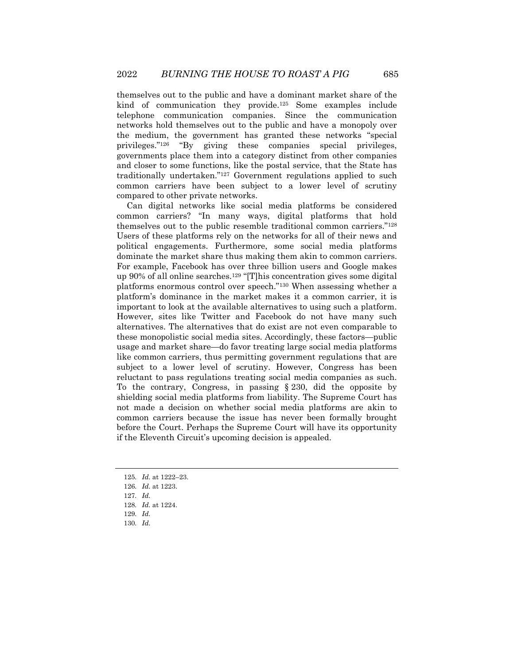themselves out to the public and have a dominant market share of the kind of communication they provide.<sup>125</sup> Some examples include telephone communication companies. Since the communication networks hold themselves out to the public and have a monopoly over the medium, the government has granted these networks "special privileges."<sup>126</sup> "By giving these companies special privileges, governments place them into a category distinct from other companies and closer to some functions, like the postal service, that the State has traditionally undertaken."<sup>127</sup> Government regulations applied to such common carriers have been subject to a lower level of scrutiny compared to other private networks.

Can digital networks like social media platforms be considered common carriers? "In many ways, digital platforms that hold themselves out to the public resemble traditional common carriers."<sup>128</sup> Users of these platforms rely on the networks for all of their news and political engagements. Furthermore, some social media platforms dominate the market share thus making them akin to common carriers. For example, Facebook has over three billion users and Google makes up 90% of all online searches.<sup>129</sup> "[T]his concentration gives some digital platforms enormous control over speech."<sup>130</sup> When assessing whether a platform's dominance in the market makes it a common carrier, it is important to look at the available alternatives to using such a platform. However, sites like Twitter and Facebook do not have many such alternatives. The alternatives that do exist are not even comparable to these monopolistic social media sites. Accordingly, these factors—public usage and market share—do favor treating large social media platforms like common carriers, thus permitting government regulations that are subject to a lower level of scrutiny. However, Congress has been reluctant to pass regulations treating social media companies as such. To the contrary, Congress, in passing § 230, did the opposite by shielding social media platforms from liability. The Supreme Court has not made a decision on whether social media platforms are akin to common carriers because the issue has never been formally brought before the Court. Perhaps the Supreme Court will have its opportunity if the Eleventh Circuit's upcoming decision is appealed.

- 125*. Id.* at 1222–23.
- 126*. Id.* at 1223.
- 127*. Id.*
- 128*. Id.* at 1224.
- 129*. Id.*
- 130*. Id.*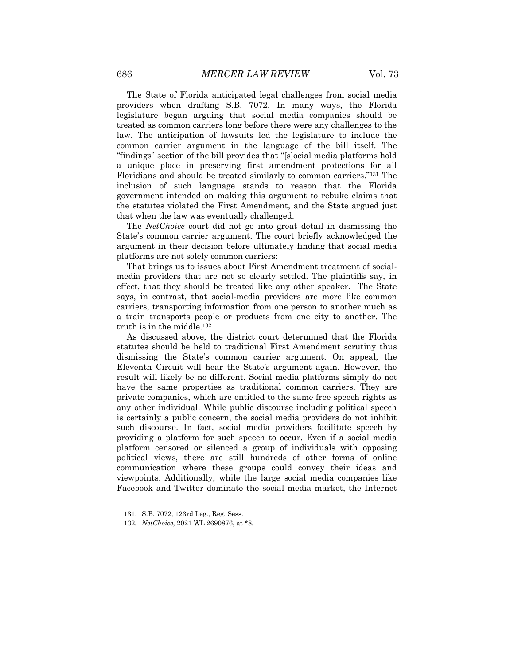The State of Florida anticipated legal challenges from social media providers when drafting S.B. 7072. In many ways, the Florida legislature began arguing that social media companies should be treated as common carriers long before there were any challenges to the law. The anticipation of lawsuits led the legislature to include the common carrier argument in the language of the bill itself. The "findings" section of the bill provides that "[s]ocial media platforms hold a unique place in preserving first amendment protections for all Floridians and should be treated similarly to common carriers."<sup>131</sup> The inclusion of such language stands to reason that the Florida government intended on making this argument to rebuke claims that the statutes violated the First Amendment, and the State argued just that when the law was eventually challenged.

The *NetChoice* court did not go into great detail in dismissing the State's common carrier argument. The court briefly acknowledged the argument in their decision before ultimately finding that social media platforms are not solely common carriers:

That brings us to issues about First Amendment treatment of socialmedia providers that are not so clearly settled. The plaintiffs say, in effect, that they should be treated like any other speaker. The State says, in contrast, that social-media providers are more like common carriers, transporting information from one person to another much as a train transports people or products from one city to another. The truth is in the middle.<sup>132</sup>

As discussed above, the district court determined that the Florida statutes should be held to traditional First Amendment scrutiny thus dismissing the State's common carrier argument. On appeal, the Eleventh Circuit will hear the State's argument again. However, the result will likely be no different. Social media platforms simply do not have the same properties as traditional common carriers. They are private companies, which are entitled to the same free speech rights as any other individual. While public discourse including political speech is certainly a public concern, the social media providers do not inhibit such discourse. In fact, social media providers facilitate speech by providing a platform for such speech to occur. Even if a social media platform censored or silenced a group of individuals with opposing political views, there are still hundreds of other forms of online communication where these groups could convey their ideas and viewpoints. Additionally, while the large social media companies like Facebook and Twitter dominate the social media market, the Internet

<sup>131.</sup> S.B. 7072, 123rd Leg., Reg. Sess.

<sup>132</sup>*. NetChoice*, 2021 WL 2690876, at \*8.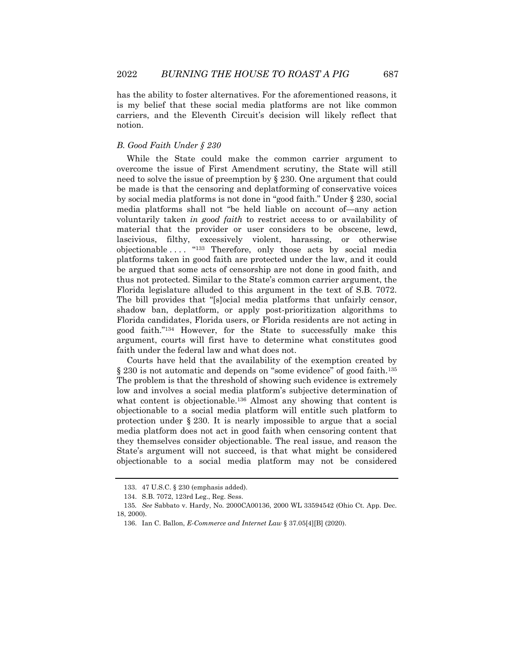has the ability to foster alternatives. For the aforementioned reasons, it is my belief that these social media platforms are not like common carriers, and the Eleventh Circuit's decision will likely reflect that notion.

#### *B. Good Faith Under § 230*

While the State could make the common carrier argument to overcome the issue of First Amendment scrutiny, the State will still need to solve the issue of preemption by § 230. One argument that could be made is that the censoring and deplatforming of conservative voices by social media platforms is not done in "good faith." Under § 230, social media platforms shall not "be held liable on account of—any action voluntarily taken *in good faith* to restrict access to or availability of material that the provider or user considers to be obscene, lewd, lascivious, filthy, excessively violent, harassing, or otherwise objectionable .... "133 Therefore, only those acts by social media platforms taken in good faith are protected under the law, and it could be argued that some acts of censorship are not done in good faith, and thus not protected. Similar to the State's common carrier argument, the Florida legislature alluded to this argument in the text of S.B. 7072. The bill provides that "[s]ocial media platforms that unfairly censor, shadow ban, deplatform, or apply post-prioritization algorithms to Florida candidates, Florida users, or Florida residents are not acting in good faith."<sup>134</sup> However, for the State to successfully make this argument, courts will first have to determine what constitutes good faith under the federal law and what does not.

Courts have held that the availability of the exemption created by § 230 is not automatic and depends on "some evidence" of good faith.<sup>135</sup> The problem is that the threshold of showing such evidence is extremely low and involves a social media platform's subjective determination of what content is objectionable.<sup>136</sup> Almost any showing that content is objectionable to a social media platform will entitle such platform to protection under § 230. It is nearly impossible to argue that a social media platform does not act in good faith when censoring content that they themselves consider objectionable. The real issue, and reason the State's argument will not succeed, is that what might be considered objectionable to a social media platform may not be considered

<sup>133.</sup> 47 U.S.C. § 230 (emphasis added).

<sup>134.</sup> S.B. 7072, 123rd Leg., Reg. Sess.

<sup>135</sup>*. See* Sabbato v. Hardy, No. 2000CA00136, 2000 WL 33594542 (Ohio Ct. App. Dec. 18, 2000).

<sup>136.</sup> Ian C. Ballon, *E-Commerce and Internet Law* § 37.05[4][B] (2020).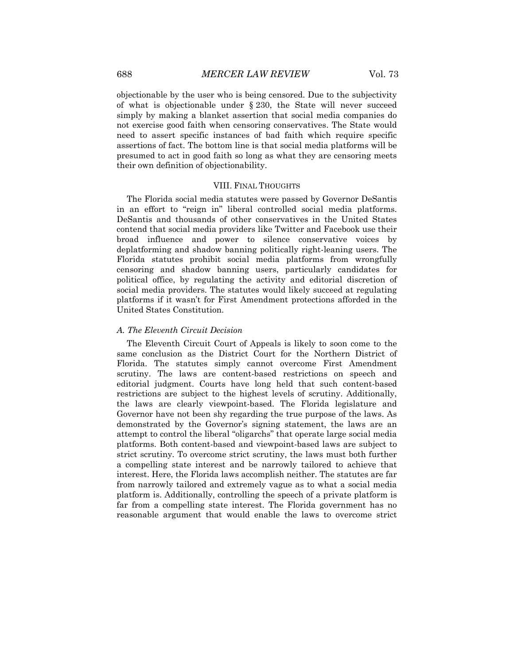objectionable by the user who is being censored. Due to the subjectivity of what is objectionable under § 230, the State will never succeed simply by making a blanket assertion that social media companies do not exercise good faith when censoring conservatives. The State would need to assert specific instances of bad faith which require specific assertions of fact. The bottom line is that social media platforms will be presumed to act in good faith so long as what they are censoring meets their own definition of objectionability.

#### VIII. FINAL THOUGHTS

The Florida social media statutes were passed by Governor DeSantis in an effort to "reign in" liberal controlled social media platforms. DeSantis and thousands of other conservatives in the United States contend that social media providers like Twitter and Facebook use their broad influence and power to silence conservative voices by deplatforming and shadow banning politically right-leaning users. The Florida statutes prohibit social media platforms from wrongfully censoring and shadow banning users, particularly candidates for political office, by regulating the activity and editorial discretion of social media providers. The statutes would likely succeed at regulating platforms if it wasn't for First Amendment protections afforded in the United States Constitution.

#### *A. The Eleventh Circuit Decision*

The Eleventh Circuit Court of Appeals is likely to soon come to the same conclusion as the District Court for the Northern District of Florida. The statutes simply cannot overcome First Amendment scrutiny. The laws are content-based restrictions on speech and editorial judgment. Courts have long held that such content-based restrictions are subject to the highest levels of scrutiny. Additionally, the laws are clearly viewpoint-based. The Florida legislature and Governor have not been shy regarding the true purpose of the laws. As demonstrated by the Governor's signing statement, the laws are an attempt to control the liberal "oligarchs" that operate large social media platforms. Both content-based and viewpoint-based laws are subject to strict scrutiny. To overcome strict scrutiny, the laws must both further a compelling state interest and be narrowly tailored to achieve that interest. Here, the Florida laws accomplish neither. The statutes are far from narrowly tailored and extremely vague as to what a social media platform is. Additionally, controlling the speech of a private platform is far from a compelling state interest. The Florida government has no reasonable argument that would enable the laws to overcome strict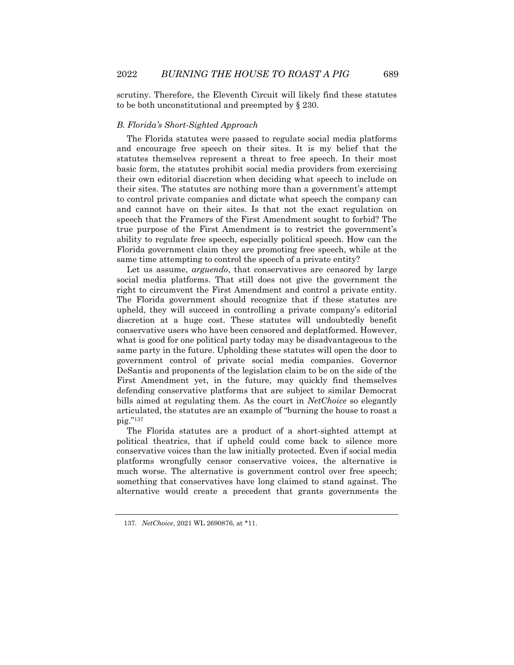scrutiny. Therefore, the Eleventh Circuit will likely find these statutes to be both unconstitutional and preempted by § 230.

#### *B. Florida's Short-Sighted Approach*

The Florida statutes were passed to regulate social media platforms and encourage free speech on their sites. It is my belief that the statutes themselves represent a threat to free speech. In their most basic form, the statutes prohibit social media providers from exercising their own editorial discretion when deciding what speech to include on their sites. The statutes are nothing more than a government's attempt to control private companies and dictate what speech the company can and cannot have on their sites. Is that not the exact regulation on speech that the Framers of the First Amendment sought to forbid? The true purpose of the First Amendment is to restrict the government's ability to regulate free speech, especially political speech. How can the Florida government claim they are promoting free speech, while at the same time attempting to control the speech of a private entity?

Let us assume, *arguendo*, that conservatives are censored by large social media platforms. That still does not give the government the right to circumvent the First Amendment and control a private entity. The Florida government should recognize that if these statutes are upheld, they will succeed in controlling a private company's editorial discretion at a huge cost. These statutes will undoubtedly benefit conservative users who have been censored and deplatformed. However, what is good for one political party today may be disadvantageous to the same party in the future. Upholding these statutes will open the door to government control of private social media companies. Governor DeSantis and proponents of the legislation claim to be on the side of the First Amendment yet, in the future, may quickly find themselves defending conservative platforms that are subject to similar Democrat bills aimed at regulating them. As the court in *NetChoice* so elegantly articulated, the statutes are an example of "burning the house to roast a pig."<sup>137</sup>

The Florida statutes are a product of a short-sighted attempt at political theatrics, that if upheld could come back to silence more conservative voices than the law initially protected. Even if social media platforms wrongfully censor conservative voices, the alternative is much worse. The alternative is government control over free speech; something that conservatives have long claimed to stand against. The alternative would create a precedent that grants governments the

<sup>137</sup>*. NetChoice*, 2021 WL 2690876, at \*11.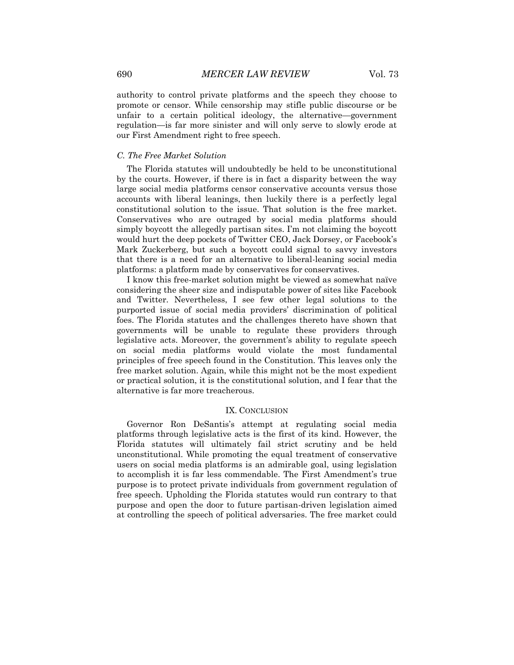authority to control private platforms and the speech they choose to promote or censor. While censorship may stifle public discourse or be unfair to a certain political ideology, the alternative—government regulation—is far more sinister and will only serve to slowly erode at our First Amendment right to free speech.

#### *C. The Free Market Solution*

The Florida statutes will undoubtedly be held to be unconstitutional by the courts. However, if there is in fact a disparity between the way large social media platforms censor conservative accounts versus those accounts with liberal leanings, then luckily there is a perfectly legal constitutional solution to the issue. That solution is the free market. Conservatives who are outraged by social media platforms should simply boycott the allegedly partisan sites. I'm not claiming the boycott would hurt the deep pockets of Twitter CEO, Jack Dorsey, or Facebook's Mark Zuckerberg, but such a boycott could signal to savvy investors that there is a need for an alternative to liberal-leaning social media platforms: a platform made by conservatives for conservatives.

I know this free-market solution might be viewed as somewhat naïve considering the sheer size and indisputable power of sites like Facebook and Twitter. Nevertheless, I see few other legal solutions to the purported issue of social media providers' discrimination of political foes. The Florida statutes and the challenges thereto have shown that governments will be unable to regulate these providers through legislative acts. Moreover, the government's ability to regulate speech on social media platforms would violate the most fundamental principles of free speech found in the Constitution. This leaves only the free market solution. Again, while this might not be the most expedient or practical solution, it is the constitutional solution, and I fear that the alternative is far more treacherous.

#### IX. CONCLUSION

Governor Ron DeSantis's attempt at regulating social media platforms through legislative acts is the first of its kind. However, the Florida statutes will ultimately fail strict scrutiny and be held unconstitutional. While promoting the equal treatment of conservative users on social media platforms is an admirable goal, using legislation to accomplish it is far less commendable. The First Amendment's true purpose is to protect private individuals from government regulation of free speech. Upholding the Florida statutes would run contrary to that purpose and open the door to future partisan-driven legislation aimed at controlling the speech of political adversaries. The free market could